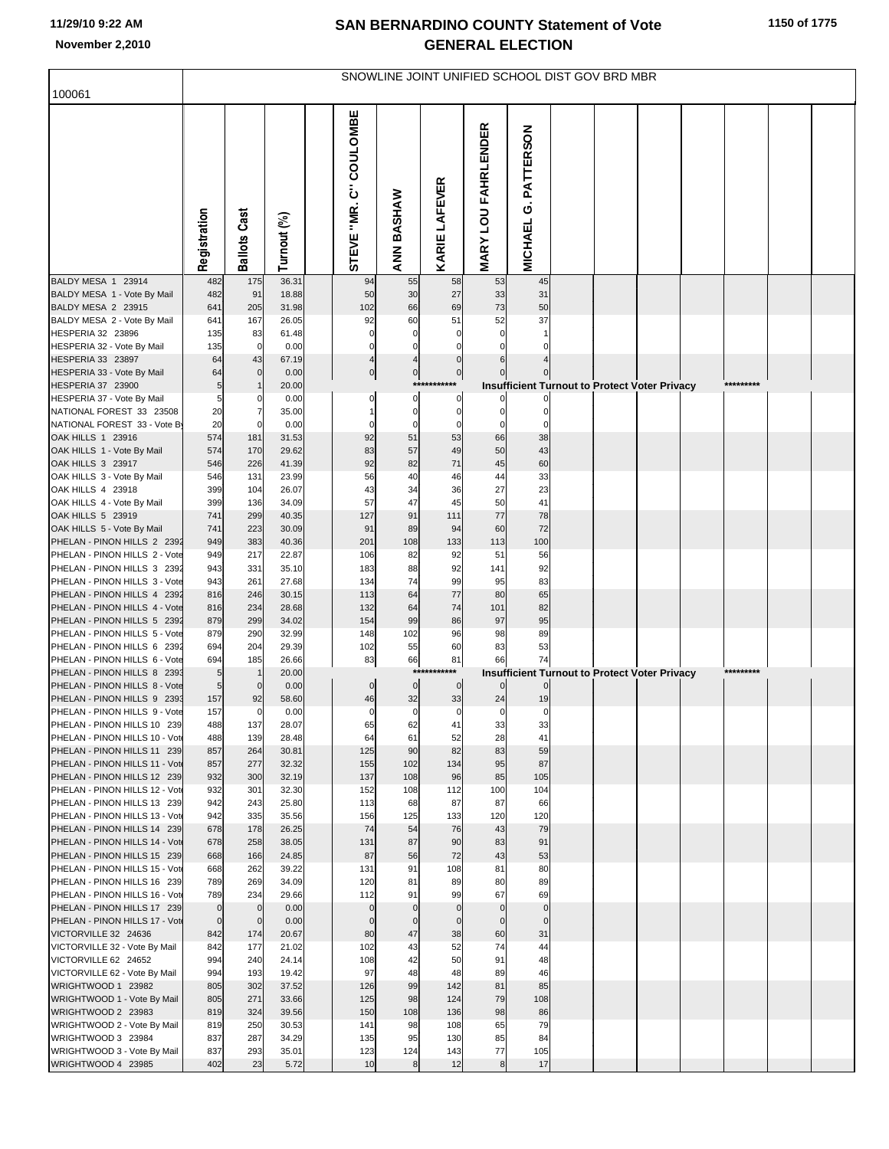## **SAN BERNARDINO COUNTY Statement of Vote November 2,2010 GENERAL ELECTION**

|                                                              | SNOWLINE JOINT UNIFIED SCHOOL DIST GOV BRD MBR |                     |                |  |                        |                |                           |                            |                                                                      |  |  |  |           |  |
|--------------------------------------------------------------|------------------------------------------------|---------------------|----------------|--|------------------------|----------------|---------------------------|----------------------------|----------------------------------------------------------------------|--|--|--|-----------|--|
| 100061                                                       |                                                |                     |                |  |                        |                |                           |                            |                                                                      |  |  |  |           |  |
|                                                              | Registration                                   | <b>Ballots Cast</b> | Turnout (%)    |  | STEVE "MR. C" COULOMBE | ANN BASHAW     | KARIE LAFEVER             | <b>MARY LOU FAHRLENDER</b> | G. PATTERSON<br><b>MICHAEL</b>                                       |  |  |  |           |  |
| BALDY MESA 1 23914                                           | 482                                            | 175                 | 36.31          |  | 94                     | 55             | 58                        | 53                         | 45                                                                   |  |  |  |           |  |
| BALDY MESA 1 - Vote By Mail<br>BALDY MESA 2 23915            | 482<br>641                                     | 91<br>205           | 18.88<br>31.98 |  | 50<br>102              | 30<br>66       | 27<br>69                  | 33<br>73                   | 31<br>50                                                             |  |  |  |           |  |
| BALDY MESA 2 - Vote By Mail                                  | 641                                            | 167                 | 26.05          |  | 92                     | 60             | 51                        | 52                         | 37                                                                   |  |  |  |           |  |
| HESPERIA 32 23896                                            | 135                                            | 83                  | 61.48          |  | $\Omega$               | $\Omega$       | $\Omega$                  |                            |                                                                      |  |  |  |           |  |
| HESPERIA 32 - Vote By Mail                                   | 135                                            | $\overline{0}$      | 0.00           |  | $\mathbf 0$            | $\Omega$       | $\Omega$                  |                            |                                                                      |  |  |  |           |  |
| HESPERIA 33 23897                                            | 64                                             | 43                  | 67.19          |  | $\overline{4}$         | 4              | $\mathbf 0$               |                            |                                                                      |  |  |  |           |  |
| HESPERIA 33 - Vote By Mail<br>HESPERIA 37 23900              | 64<br>5                                        | $\overline{0}$      | 0.00<br>20.00  |  | $\pmb{0}$              | $\overline{0}$ | $\overline{0}$<br>******* |                            | Insufficient Turnout to Protect Voter Privacy                        |  |  |  | ********* |  |
| HESPERIA 37 - Vote By Mail                                   | 5                                              | 0                   | 0.00           |  | 0                      | 0              | $\mathbf 0$               |                            |                                                                      |  |  |  |           |  |
| NATIONAL FOREST 33 23508                                     | 20                                             |                     | 35.00          |  |                        | $\mathbf 0$    | $\mathbf 0$               |                            |                                                                      |  |  |  |           |  |
| NATIONAL FOREST 33 - Vote By                                 | 20                                             | $\mathbf 0$         | 0.00           |  | C                      | 0              | 0                         |                            | $\Omega$                                                             |  |  |  |           |  |
| OAK HILLS 1 23916                                            | 574                                            | 181                 | 31.53          |  | 92                     | 51             | 53                        | 66                         | 38                                                                   |  |  |  |           |  |
| OAK HILLS 1 - Vote By Mail<br>OAK HILLS 3 23917              | 574<br>546                                     | 170<br>226          | 29.62<br>41.39 |  | 83<br>92               | 57<br>82       | 49<br>71                  | 50<br>45                   | 43<br>60                                                             |  |  |  |           |  |
| OAK HILLS 3 - Vote By Mail                                   | 546                                            | 131                 | 23.99          |  | 56                     | 40             | 46                        | 44                         | 33                                                                   |  |  |  |           |  |
| OAK HILLS 4 23918                                            | 399                                            | 104                 | 26.07          |  | 43                     | 34             | 36                        | 27                         | 23                                                                   |  |  |  |           |  |
| OAK HILLS 4 - Vote By Mail                                   | 399                                            | 136                 | 34.09          |  | 57                     | 47             | 45                        | 50                         | 41                                                                   |  |  |  |           |  |
| OAK HILLS 5 23919                                            | 741                                            | 299                 | 40.35          |  | 127                    | 91             | 111                       | 77                         | 78                                                                   |  |  |  |           |  |
| OAK HILLS 5 - Vote By Mail<br>PHELAN - PINON HILLS 2 2392    | 741<br>949                                     | 223<br>383          | 30.09<br>40.36 |  | 91<br>201              | 89<br>108      | 94<br>133                 | 60<br>113                  | 72<br>100                                                            |  |  |  |           |  |
| PHELAN - PINON HILLS 2 - Vote                                | 949                                            | 217                 | 22.87          |  | 106                    | 82             | 92                        | 51                         | 56                                                                   |  |  |  |           |  |
| PHELAN - PINON HILLS 3 2392                                  | 943                                            | 331                 | 35.10          |  | 183                    | 88             | 92                        | 141                        | 92                                                                   |  |  |  |           |  |
| PHELAN - PINON HILLS 3 - Vote                                | 943                                            | 261                 | 27.68          |  | 134                    | 74             | 99                        | 95                         | 83                                                                   |  |  |  |           |  |
| PHELAN - PINON HILLS 4 2392<br>PHELAN - PINON HILLS 4 - Vote | 816<br>816                                     | 246<br>234          | 30.15<br>28.68 |  | 113<br>132             | 64<br>64       | 77<br>74                  | 80<br>101                  | 65<br>82                                                             |  |  |  |           |  |
| PHELAN - PINON HILLS 5 2392                                  | 879                                            | 299                 | 34.02          |  | 154                    | 99             | 86                        | 97                         | 95                                                                   |  |  |  |           |  |
| PHELAN - PINON HILLS 5 - Vote                                | 879                                            | 290                 | 32.99          |  | 148                    | 102            | 96                        | 98                         | 89                                                                   |  |  |  |           |  |
| PHELAN - PINON HILLS 6 2392                                  | 694                                            | 204                 | 29.39          |  | 102                    | 55             | 60                        | 83                         | 53                                                                   |  |  |  |           |  |
| PHELAN - PINON HILLS 6 - Vote                                | 694                                            | 185                 | 26.66          |  | 83                     | 66<br>$***$    | 81<br>***                 | 66                         | 74                                                                   |  |  |  | ********  |  |
| PHELAN - PINON HILLS 8 2393<br>PHELAN - PINON HILLS 8 - Vote | 5<br>5                                         | $\mathbf 0$         | 20.00<br>0.00  |  | $\pmb{0}$              | $\pmb{0}$      | $\overline{0}$            |                            | <b>Insufficient Turnout to Protect Voter Privacy</b><br>$\mathbf{0}$ |  |  |  |           |  |
| PHELAN - PINON HILLS 9 2393                                  | 157                                            | 92                  | 58.60          |  | 46                     | 32             | 33                        | 24                         | 19                                                                   |  |  |  |           |  |
| PHELAN - PINON HILLS 9 - Vote                                | 157                                            | $\overline{0}$      | 0.00           |  | $\mathbf 0$            | $\mathbf 0$    | $\mathbf 0$               | $\mathbf 0$                | $\mathbf 0$                                                          |  |  |  |           |  |
| PHELAN - PINON HILLS 10 239                                  | 488                                            | 137                 | 28.07          |  | 65                     | 62             | 41                        | 33                         | 33                                                                   |  |  |  |           |  |
| PHELAN - PINON HILLS 10 - Vot<br>PHELAN - PINON HILLS 11 239 | 488<br>857                                     | 139<br>264          | 28.48<br>30.81 |  | 64<br>125              | 61<br>90       | 52<br>82                  | 28<br>83                   | 41<br>59                                                             |  |  |  |           |  |
| PHELAN - PINON HILLS 11 - Vot                                | 857                                            | 277                 | 32.32          |  | 155                    | 102            | 134                       | 95                         | 87                                                                   |  |  |  |           |  |
| PHELAN - PINON HILLS 12 239                                  | 932                                            | 300                 | 32.19          |  | 137                    | 108            | 96                        | 85                         | 105                                                                  |  |  |  |           |  |
| PHELAN - PINON HILLS 12 - Vot                                | 932                                            | 301                 | 32.30          |  | 152                    | 108            | 112                       | 100                        | 104                                                                  |  |  |  |           |  |
| PHELAN - PINON HILLS 13 239<br>PHELAN - PINON HILLS 13 - Vot | 942<br>942                                     | 243<br>335          | 25.80<br>35.56 |  | 113<br>156             | 68<br>125      | 87<br>133                 | 87<br>120                  | 66<br>120                                                            |  |  |  |           |  |
| PHELAN - PINON HILLS 14 239                                  | 678                                            | 178                 | 26.25          |  | 74                     | 54             | 76                        | 43                         | 79                                                                   |  |  |  |           |  |
| PHELAN - PINON HILLS 14 - Vot                                | 678                                            | 258                 | 38.05          |  | 131                    | 87             | 90                        | 83                         | 91                                                                   |  |  |  |           |  |
| PHELAN - PINON HILLS 15 239                                  | 668                                            | 166                 | 24.85          |  | 87                     | 56             | 72                        | 43                         | 53                                                                   |  |  |  |           |  |
| PHELAN - PINON HILLS 15 - Vote                               | 668                                            | 262                 | 39.22          |  | 131                    | 91             | 108                       | 81                         | 80                                                                   |  |  |  |           |  |
| PHELAN - PINON HILLS 16 239<br>PHELAN - PINON HILLS 16 - Vot | 789<br>789                                     | 269<br>234          | 34.09<br>29.66 |  | 120<br>112             | 81<br>91       | 89<br>99                  | 80<br>67                   | 89<br>69                                                             |  |  |  |           |  |
| PHELAN - PINON HILLS 17 239                                  | $\mathbf 0$                                    | $\mathbf 0$         | 0.00           |  | $\mathbf 0$            | $\mathbf 0$    | $\mathbf 0$               | $\overline{0}$             | $\mathbf 0$                                                          |  |  |  |           |  |
| PHELAN - PINON HILLS 17 - Vot                                | $\pmb{0}$                                      | $\mathbf 0$         | 0.00           |  | $\mathbf 0$            | $\mathbf 0$    | $\mathbf 0$               | $\Omega$                   | $\mathbf 0$                                                          |  |  |  |           |  |
| VICTORVILLE 32 24636                                         | 842                                            | 174                 | 20.67          |  | 80                     | 47             | 38                        | 60                         | 31                                                                   |  |  |  |           |  |
| VICTORVILLE 32 - Vote By Mail<br>VICTORVILLE 62 24652        | 842<br>994                                     | 177<br>240          | 21.02<br>24.14 |  | 102<br>108             | 43<br>42       | 52<br>50                  | 74<br>91                   | 44<br>48                                                             |  |  |  |           |  |
| VICTORVILLE 62 - Vote By Mail                                | 994                                            | 193                 | 19.42          |  | 97                     | 48             | 48                        | 89                         | 46                                                                   |  |  |  |           |  |
| WRIGHTWOOD 1 23982                                           | 805                                            | 302                 | 37.52          |  | 126                    | 99             | 142                       | 81                         | 85                                                                   |  |  |  |           |  |
| WRIGHTWOOD 1 - Vote By Mail                                  | 805                                            | 271                 | 33.66          |  | 125                    | 98             | 124                       | 79                         | 108                                                                  |  |  |  |           |  |
| WRIGHTWOOD 2 23983                                           | 819                                            | 324                 | 39.56          |  | 150                    | 108            | 136                       | 98                         | 86                                                                   |  |  |  |           |  |
| WRIGHTWOOD 2 - Vote By Mail<br>WRIGHTWOOD 3 23984            | 819<br>837                                     | 250<br>287          | 30.53<br>34.29 |  | 141<br>135             | 98<br>95       | 108<br>130                | 65<br>85                   | 79<br>84                                                             |  |  |  |           |  |
| WRIGHTWOOD 3 - Vote By Mail                                  | 837                                            | 293                 | 35.01          |  | 123                    | 124            | 143                       | 77                         | 105                                                                  |  |  |  |           |  |
| WRIGHTWOOD 4 23985                                           | 402                                            | 23                  | 5.72           |  | 10                     | 8              | 12                        | 8                          | 17                                                                   |  |  |  |           |  |